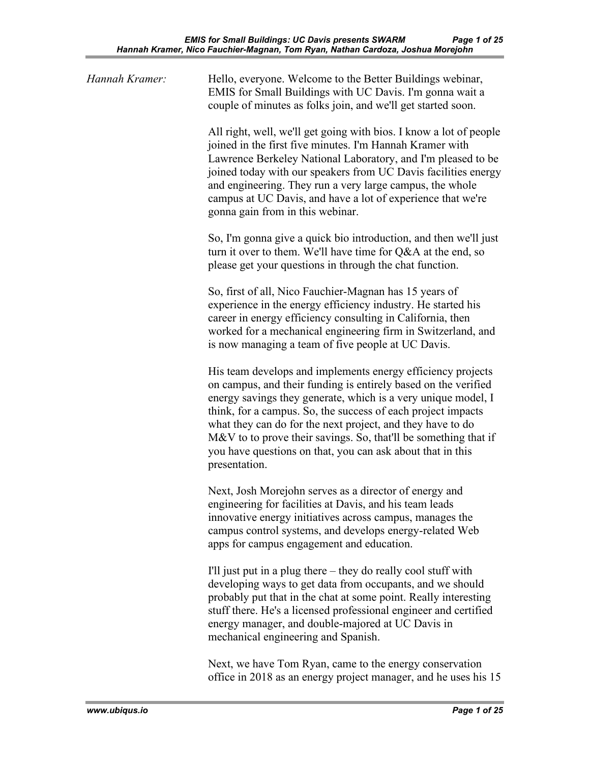| Hannah Kramer: | Hello, everyone. Welcome to the Better Buildings webinar,<br>EMIS for Small Buildings with UC Davis. I'm gonna wait a<br>couple of minutes as folks join, and we'll get started soon.                                                                                                                                                                                                                                                                                          |
|----------------|--------------------------------------------------------------------------------------------------------------------------------------------------------------------------------------------------------------------------------------------------------------------------------------------------------------------------------------------------------------------------------------------------------------------------------------------------------------------------------|
|                | All right, well, we'll get going with bios. I know a lot of people<br>joined in the first five minutes. I'm Hannah Kramer with<br>Lawrence Berkeley National Laboratory, and I'm pleased to be<br>joined today with our speakers from UC Davis facilities energy<br>and engineering. They run a very large campus, the whole<br>campus at UC Davis, and have a lot of experience that we're<br>gonna gain from in this webinar.                                                |
|                | So, I'm gonna give a quick bio introduction, and then we'll just<br>turn it over to them. We'll have time for Q&A at the end, so<br>please get your questions in through the chat function.                                                                                                                                                                                                                                                                                    |
|                | So, first of all, Nico Fauchier-Magnan has 15 years of<br>experience in the energy efficiency industry. He started his<br>career in energy efficiency consulting in California, then<br>worked for a mechanical engineering firm in Switzerland, and<br>is now managing a team of five people at UC Davis.                                                                                                                                                                     |
|                | His team develops and implements energy efficiency projects<br>on campus, and their funding is entirely based on the verified<br>energy savings they generate, which is a very unique model, I<br>think, for a campus. So, the success of each project impacts<br>what they can do for the next project, and they have to do<br>M&V to to prove their savings. So, that'll be something that if<br>you have questions on that, you can ask about that in this<br>presentation. |
|                | Next, Josh Morejohn serves as a director of energy and<br>engineering for facilities at Davis, and his team leads<br>innovative energy initiatives across campus, manages the<br>campus control systems, and develops energy-related Web<br>apps for campus engagement and education.                                                                                                                                                                                          |
|                | I'll just put in a plug there – they do really cool stuff with<br>developing ways to get data from occupants, and we should<br>probably put that in the chat at some point. Really interesting<br>stuff there. He's a licensed professional engineer and certified<br>energy manager, and double-majored at UC Davis in<br>mechanical engineering and Spanish.                                                                                                                 |

Next, we have Tom Ryan, came to the energy conservation office in 2018 as an energy project manager, and he uses his 15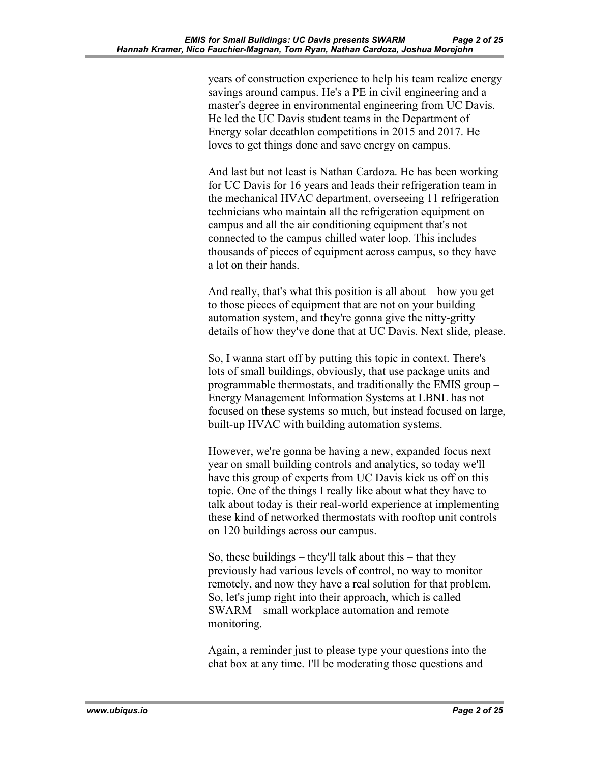years of construction experience to help his team realize energy savings around campus. He's a PE in civil engineering and a master's degree in environmental engineering from UC Davis. He led the UC Davis student teams in the Department of Energy solar decathlon competitions in 2015 and 2017. He loves to get things done and save energy on campus.

And last but not least is Nathan Cardoza. He has been working for UC Davis for 16 years and leads their refrigeration team in the mechanical HVAC department, overseeing 11 refrigeration technicians who maintain all the refrigeration equipment on campus and all the air conditioning equipment that's not connected to the campus chilled water loop. This includes thousands of pieces of equipment across campus, so they have a lot on their hands.

And really, that's what this position is all about – how you get to those pieces of equipment that are not on your building automation system, and they're gonna give the nitty-gritty details of how they've done that at UC Davis. Next slide, please.

So, I wanna start off by putting this topic in context. There's lots of small buildings, obviously, that use package units and programmable thermostats, and traditionally the EMIS group – Energy Management Information Systems at LBNL has not focused on these systems so much, but instead focused on large, built-up HVAC with building automation systems.

However, we're gonna be having a new, expanded focus next year on small building controls and analytics, so today we'll have this group of experts from UC Davis kick us off on this topic. One of the things I really like about what they have to talk about today is their real-world experience at implementing these kind of networked thermostats with rooftop unit controls on 120 buildings across our campus.

So, these buildings – they'll talk about this – that they previously had various levels of control, no way to monitor remotely, and now they have a real solution for that problem. So, let's jump right into their approach, which is called SWARM – small workplace automation and remote monitoring.

Again, a reminder just to please type your questions into the chat box at any time. I'll be moderating those questions and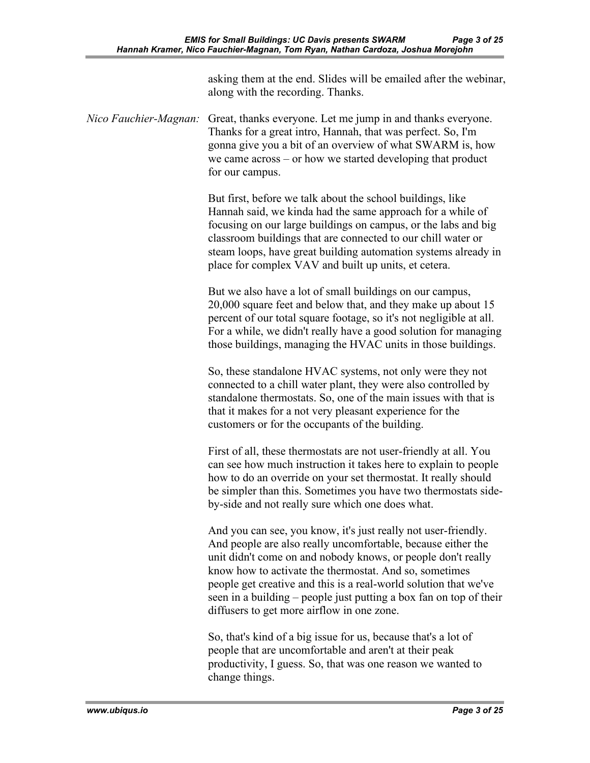|                       | asking them at the end. Slides will be emailed after the webinar,<br>along with the recording. Thanks.                                                                                                                                                                                                                                                                                                                                           |
|-----------------------|--------------------------------------------------------------------------------------------------------------------------------------------------------------------------------------------------------------------------------------------------------------------------------------------------------------------------------------------------------------------------------------------------------------------------------------------------|
| Nico Fauchier-Magnan: | Great, thanks everyone. Let me jump in and thanks everyone.<br>Thanks for a great intro, Hannah, that was perfect. So, I'm<br>gonna give you a bit of an overview of what SWARM is, how<br>we came $across - or how we started developing that product$<br>for our campus.                                                                                                                                                                       |
|                       | But first, before we talk about the school buildings, like<br>Hannah said, we kinda had the same approach for a while of<br>focusing on our large buildings on campus, or the labs and big<br>classroom buildings that are connected to our chill water or<br>steam loops, have great building automation systems already in<br>place for complex VAV and built up units, et cetera.                                                             |
|                       | But we also have a lot of small buildings on our campus,<br>20,000 square feet and below that, and they make up about 15<br>percent of our total square footage, so it's not negligible at all.<br>For a while, we didn't really have a good solution for managing<br>those buildings, managing the HVAC units in those buildings.                                                                                                               |
|                       | So, these standalone HVAC systems, not only were they not<br>connected to a chill water plant, they were also controlled by<br>standalone thermostats. So, one of the main issues with that is<br>that it makes for a not very pleasant experience for the<br>customers or for the occupants of the building.                                                                                                                                    |
|                       | First of all, these thermostats are not user-friendly at all. You<br>can see how much instruction it takes here to explain to people<br>how to do an override on your set thermostat. It really should<br>be simpler than this. Sometimes you have two thermostats side-<br>by-side and not really sure which one does what.                                                                                                                     |
|                       | And you can see, you know, it's just really not user-friendly.<br>And people are also really uncomfortable, because either the<br>unit didn't come on and nobody knows, or people don't really<br>know how to activate the thermostat. And so, sometimes<br>people get creative and this is a real-world solution that we've<br>seen in a building – people just putting a box fan on top of their<br>diffusers to get more airflow in one zone. |
|                       | So, that's kind of a big issue for us, because that's a lot of<br>people that are uncomfortable and aren't at their peak<br>productivity, I guess. So, that was one reason we wanted to                                                                                                                                                                                                                                                          |

change things.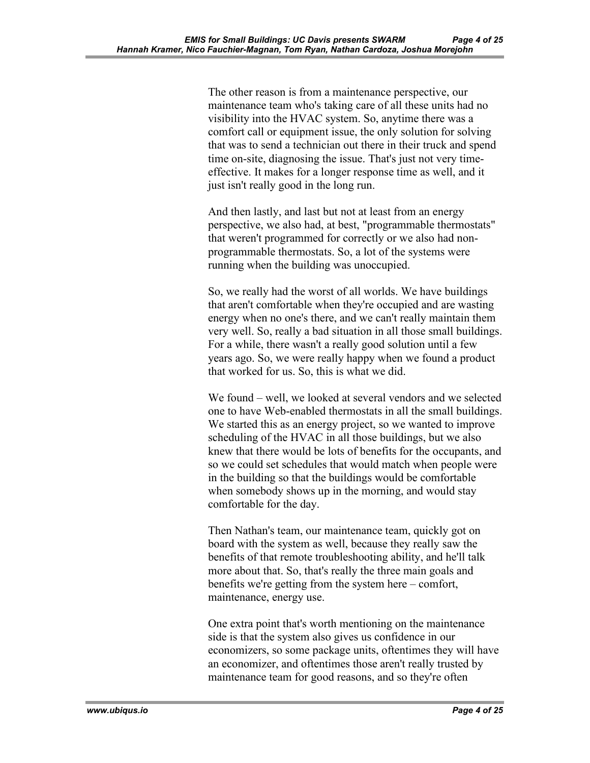The other reason is from a maintenance perspective, our maintenance team who's taking care of all these units had no visibility into the HVAC system. So, anytime there was a comfort call or equipment issue, the only solution for solving that was to send a technician out there in their truck and spend time on-site, diagnosing the issue. That's just not very timeeffective. It makes for a longer response time as well, and it just isn't really good in the long run.

And then lastly, and last but not at least from an energy perspective, we also had, at best, "programmable thermostats" that weren't programmed for correctly or we also had nonprogrammable thermostats. So, a lot of the systems were running when the building was unoccupied.

So, we really had the worst of all worlds. We have buildings that aren't comfortable when they're occupied and are wasting energy when no one's there, and we can't really maintain them very well. So, really a bad situation in all those small buildings. For a while, there wasn't a really good solution until a few years ago. So, we were really happy when we found a product that worked for us. So, this is what we did.

We found – well, we looked at several vendors and we selected one to have Web-enabled thermostats in all the small buildings. We started this as an energy project, so we wanted to improve scheduling of the HVAC in all those buildings, but we also knew that there would be lots of benefits for the occupants, and so we could set schedules that would match when people were in the building so that the buildings would be comfortable when somebody shows up in the morning, and would stay comfortable for the day.

Then Nathan's team, our maintenance team, quickly got on board with the system as well, because they really saw the benefits of that remote troubleshooting ability, and he'll talk more about that. So, that's really the three main goals and benefits we're getting from the system here – comfort, maintenance, energy use.

One extra point that's worth mentioning on the maintenance side is that the system also gives us confidence in our economizers, so some package units, oftentimes they will have an economizer, and oftentimes those aren't really trusted by maintenance team for good reasons, and so they're often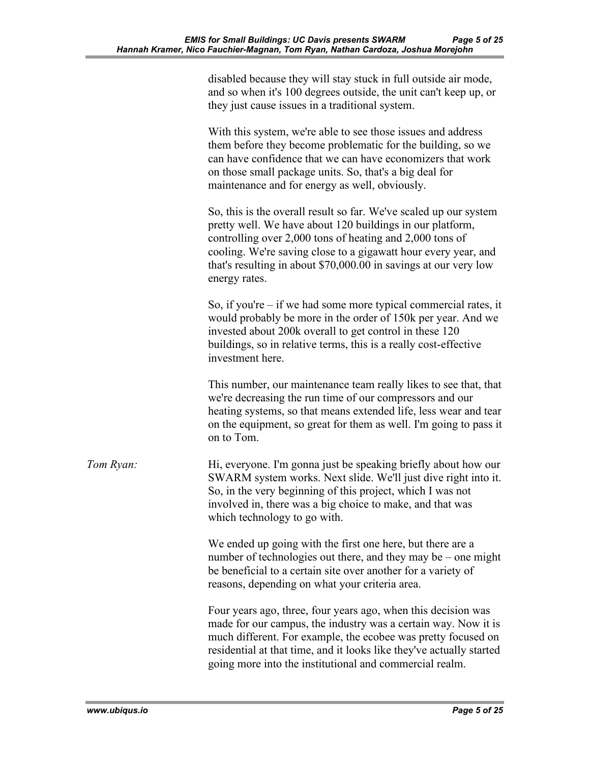|           | disabled because they will stay stuck in full outside air mode,<br>and so when it's 100 degrees outside, the unit can't keep up, or<br>they just cause issues in a traditional system.                                                                                                                                                            |
|-----------|---------------------------------------------------------------------------------------------------------------------------------------------------------------------------------------------------------------------------------------------------------------------------------------------------------------------------------------------------|
|           | With this system, we're able to see those issues and address<br>them before they become problematic for the building, so we<br>can have confidence that we can have economizers that work<br>on those small package units. So, that's a big deal for<br>maintenance and for energy as well, obviously.                                            |
|           | So, this is the overall result so far. We've scaled up our system<br>pretty well. We have about 120 buildings in our platform,<br>controlling over 2,000 tons of heating and 2,000 tons of<br>cooling. We're saving close to a gigawatt hour every year, and<br>that's resulting in about \$70,000.00 in savings at our very low<br>energy rates. |
|           | So, if you're $-$ if we had some more typical commercial rates, it<br>would probably be more in the order of 150k per year. And we<br>invested about 200k overall to get control in these 120<br>buildings, so in relative terms, this is a really cost-effective<br>investment here.                                                             |
|           | This number, our maintenance team really likes to see that, that<br>we're decreasing the run time of our compressors and our<br>heating systems, so that means extended life, less wear and tear<br>on the equipment, so great for them as well. I'm going to pass it<br>on to Tom.                                                               |
| Tom Ryan: | Hi, everyone. I'm gonna just be speaking briefly about how our<br>SWARM system works. Next slide. We'll just dive right into it.<br>So, in the very beginning of this project, which I was not<br>involved in, there was a big choice to make, and that was<br>which technology to go with.                                                       |
|           | We ended up going with the first one here, but there are a<br>number of technologies out there, and they may be – one might<br>be beneficial to a certain site over another for a variety of<br>reasons, depending on what your criteria area.                                                                                                    |
|           | Four years ago, three, four years ago, when this decision was<br>made for our campus, the industry was a certain way. Now it is<br>much different. For example, the ecobee was pretty focused on<br>residential at that time, and it looks like they've actually started<br>going more into the institutional and commercial realm.               |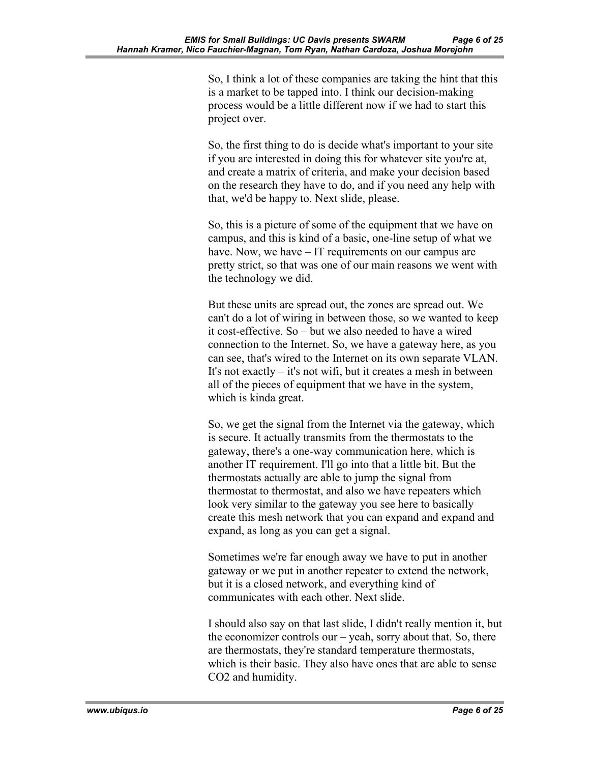So, I think a lot of these companies are taking the hint that this is a market to be tapped into. I think our decision-making process would be a little different now if we had to start this project over.

So, the first thing to do is decide what's important to your site if you are interested in doing this for whatever site you're at, and create a matrix of criteria, and make your decision based on the research they have to do, and if you need any help with that, we'd be happy to. Next slide, please.

So, this is a picture of some of the equipment that we have on campus, and this is kind of a basic, one-line setup of what we have. Now, we have – IT requirements on our campus are pretty strict, so that was one of our main reasons we went with the technology we did.

But these units are spread out, the zones are spread out. We can't do a lot of wiring in between those, so we wanted to keep it cost-effective. So – but we also needed to have a wired connection to the Internet. So, we have a gateway here, as you can see, that's wired to the Internet on its own separate VLAN. It's not exactly – it's not wifi, but it creates a mesh in between all of the pieces of equipment that we have in the system, which is kinda great.

So, we get the signal from the Internet via the gateway, which is secure. It actually transmits from the thermostats to the gateway, there's a one-way communication here, which is another IT requirement. I'll go into that a little bit. But the thermostats actually are able to jump the signal from thermostat to thermostat, and also we have repeaters which look very similar to the gateway you see here to basically create this mesh network that you can expand and expand and expand, as long as you can get a signal.

Sometimes we're far enough away we have to put in another gateway or we put in another repeater to extend the network, but it is a closed network, and everything kind of communicates with each other. Next slide.

I should also say on that last slide, I didn't really mention it, but the economizer controls our – yeah, sorry about that. So, there are thermostats, they're standard temperature thermostats, which is their basic. They also have ones that are able to sense CO2 and humidity.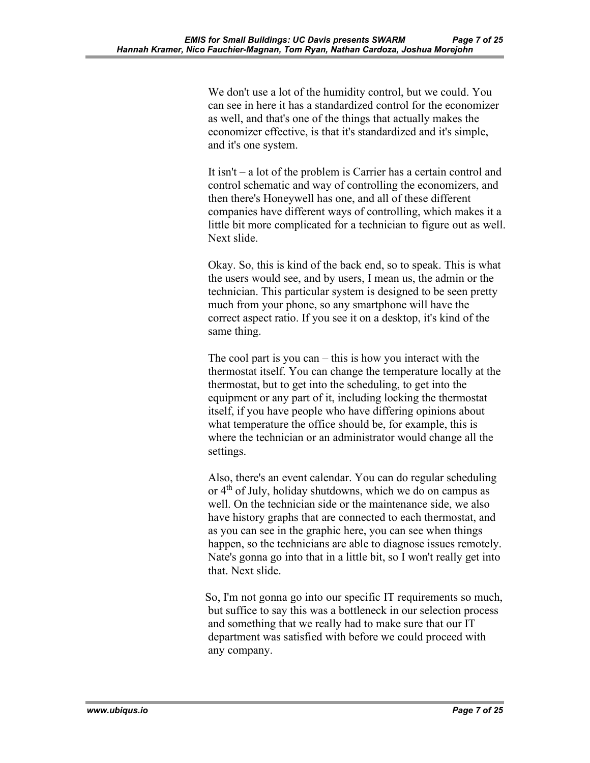We don't use a lot of the humidity control, but we could. You can see in here it has a standardized control for the economizer as well, and that's one of the things that actually makes the economizer effective, is that it's standardized and it's simple, and it's one system.

It isn't – a lot of the problem is Carrier has a certain control and control schematic and way of controlling the economizers, and then there's Honeywell has one, and all of these different companies have different ways of controlling, which makes it a little bit more complicated for a technician to figure out as well. Next slide.

Okay. So, this is kind of the back end, so to speak. This is what the users would see, and by users, I mean us, the admin or the technician. This particular system is designed to be seen pretty much from your phone, so any smartphone will have the correct aspect ratio. If you see it on a desktop, it's kind of the same thing.

The cool part is you can – this is how you interact with the thermostat itself. You can change the temperature locally at the thermostat, but to get into the scheduling, to get into the equipment or any part of it, including locking the thermostat itself, if you have people who have differing opinions about what temperature the office should be, for example, this is where the technician or an administrator would change all the settings.

Also, there's an event calendar. You can do regular scheduling or  $4<sup>th</sup>$  of July, holiday shutdowns, which we do on campus as well. On the technician side or the maintenance side, we also have history graphs that are connected to each thermostat, and as you can see in the graphic here, you can see when things happen, so the technicians are able to diagnose issues remotely. Nate's gonna go into that in a little bit, so I won't really get into that. Next slide.

So, I'm not gonna go into our specific IT requirements so much, but suffice to say this was a bottleneck in our selection process and something that we really had to make sure that our IT department was satisfied with before we could proceed with any company.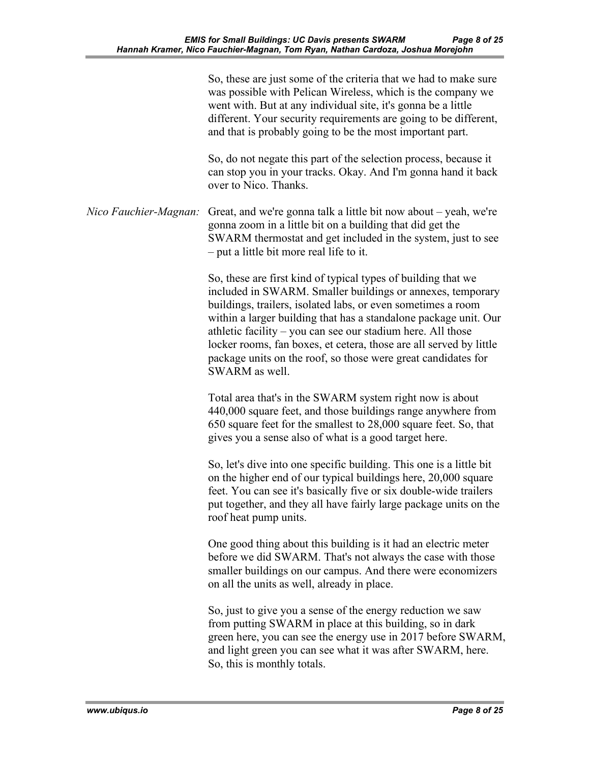|                       | So, these are just some of the criteria that we had to make sure<br>was possible with Pelican Wireless, which is the company we<br>went with. But at any individual site, it's gonna be a little<br>different. Your security requirements are going to be different,<br>and that is probably going to be the most important part.                                                                                                                                                       |
|-----------------------|-----------------------------------------------------------------------------------------------------------------------------------------------------------------------------------------------------------------------------------------------------------------------------------------------------------------------------------------------------------------------------------------------------------------------------------------------------------------------------------------|
|                       | So, do not negate this part of the selection process, because it<br>can stop you in your tracks. Okay. And I'm gonna hand it back<br>over to Nico. Thanks.                                                                                                                                                                                                                                                                                                                              |
| Nico Fauchier-Magnan: | Great, and we're gonna talk a little bit now about – yeah, we're<br>gonna zoom in a little bit on a building that did get the<br>SWARM thermostat and get included in the system, just to see<br>- put a little bit more real life to it.                                                                                                                                                                                                                                               |
|                       | So, these are first kind of typical types of building that we<br>included in SWARM. Smaller buildings or annexes, temporary<br>buildings, trailers, isolated labs, or even sometimes a room<br>within a larger building that has a standalone package unit. Our<br>athletic facility - you can see our stadium here. All those<br>locker rooms, fan boxes, et cetera, those are all served by little<br>package units on the roof, so those were great candidates for<br>SWARM as well. |
|                       | Total area that's in the SWARM system right now is about<br>440,000 square feet, and those buildings range anywhere from<br>650 square feet for the smallest to 28,000 square feet. So, that<br>gives you a sense also of what is a good target here.                                                                                                                                                                                                                                   |
|                       | So, let's dive into one specific building. This one is a little bit<br>on the higher end of our typical buildings here, 20,000 square<br>feet. You can see it's basically five or six double-wide trailers<br>put together, and they all have fairly large package units on the<br>roof heat pump units.                                                                                                                                                                                |
|                       | One good thing about this building is it had an electric meter<br>before we did SWARM. That's not always the case with those<br>smaller buildings on our campus. And there were economizers<br>on all the units as well, already in place.                                                                                                                                                                                                                                              |
|                       | So, just to give you a sense of the energy reduction we saw<br>from putting SWARM in place at this building, so in dark<br>green here, you can see the energy use in 2017 before SWARM,<br>and light green you can see what it was after SWARM, here.<br>So, this is monthly totals.                                                                                                                                                                                                    |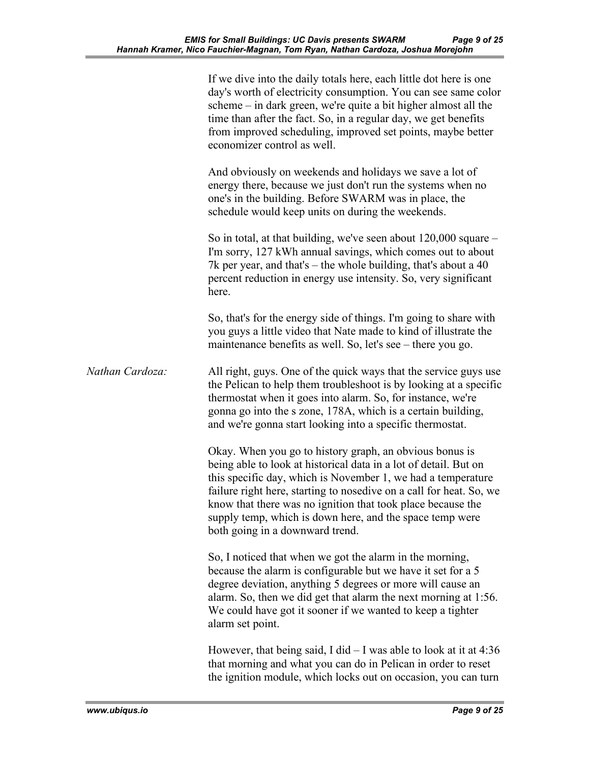|                 | If we dive into the daily totals here, each little dot here is one<br>day's worth of electricity consumption. You can see same color<br>scheme – in dark green, we're quite a bit higher almost all the<br>time than after the fact. So, in a regular day, we get benefits<br>from improved scheduling, improved set points, maybe better<br>economizer control as well.                                                         |
|-----------------|----------------------------------------------------------------------------------------------------------------------------------------------------------------------------------------------------------------------------------------------------------------------------------------------------------------------------------------------------------------------------------------------------------------------------------|
|                 | And obviously on weekends and holidays we save a lot of<br>energy there, because we just don't run the systems when no<br>one's in the building. Before SWARM was in place, the<br>schedule would keep units on during the weekends.                                                                                                                                                                                             |
|                 | So in total, at that building, we've seen about $120,000$ square $-$<br>I'm sorry, 127 kWh annual savings, which comes out to about<br>7k per year, and that's – the whole building, that's about a $40$<br>percent reduction in energy use intensity. So, very significant<br>here.                                                                                                                                             |
|                 | So, that's for the energy side of things. I'm going to share with<br>you guys a little video that Nate made to kind of illustrate the<br>maintenance benefits as well. So, let's see – there you go.                                                                                                                                                                                                                             |
| Nathan Cardoza: | All right, guys. One of the quick ways that the service guys use<br>the Pelican to help them troubleshoot is by looking at a specific<br>thermostat when it goes into alarm. So, for instance, we're<br>gonna go into the s zone, 178A, which is a certain building,<br>and we're gonna start looking into a specific thermostat.                                                                                                |
|                 | Okay. When you go to history graph, an obvious bonus is<br>being able to look at historical data in a lot of detail. But on<br>this specific day, which is November 1, we had a temperature<br>failure right here, starting to nosedive on a call for heat. So, we<br>know that there was no ignition that took place because the<br>supply temp, which is down here, and the space temp were<br>both going in a downward trend. |
|                 | So, I noticed that when we got the alarm in the morning,<br>because the alarm is configurable but we have it set for a 5<br>degree deviation, anything 5 degrees or more will cause an<br>alarm. So, then we did get that alarm the next morning at 1:56.<br>We could have got it sooner if we wanted to keep a tighter<br>alarm set point.                                                                                      |
|                 | However, that being said, I did $-$ I was able to look at it at 4:36<br>that morning and what you can do in Pelican in order to reset<br>the ignition module, which locks out on occasion, you can turn                                                                                                                                                                                                                          |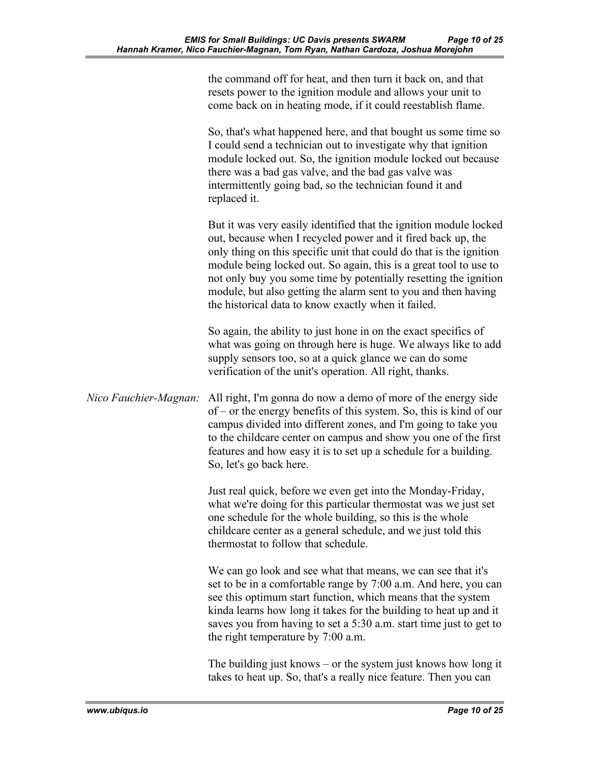|                       | the command off for heat, and then turn it back on, and that<br>resets power to the ignition module and allows your unit to<br>come back on in heating mode, if it could reestablish flame.                                                                                                                                                                                                                                                                                |
|-----------------------|----------------------------------------------------------------------------------------------------------------------------------------------------------------------------------------------------------------------------------------------------------------------------------------------------------------------------------------------------------------------------------------------------------------------------------------------------------------------------|
|                       | So, that's what happened here, and that bought us some time so<br>I could send a technician out to investigate why that ignition<br>module locked out. So, the ignition module locked out because<br>there was a bad gas valve, and the bad gas valve was<br>intermittently going bad, so the technician found it and<br>replaced it.                                                                                                                                      |
|                       | But it was very easily identified that the ignition module locked<br>out, because when I recycled power and it fired back up, the<br>only thing on this specific unit that could do that is the ignition<br>module being locked out. So again, this is a great tool to use to<br>not only buy you some time by potentially resetting the ignition<br>module, but also getting the alarm sent to you and then having<br>the historical data to know exactly when it failed. |
|                       | So again, the ability to just hone in on the exact specifics of<br>what was going on through here is huge. We always like to add<br>supply sensors too, so at a quick glance we can do some<br>verification of the unit's operation. All right, thanks.                                                                                                                                                                                                                    |
| Nico Fauchier-Magnan: | All right, I'm gonna do now a demo of more of the energy side<br>of – or the energy benefits of this system. So, this is kind of our<br>campus divided into different zones, and I'm going to take you<br>to the childcare center on campus and show you one of the first<br>features and how easy it is to set up a schedule for a building.<br>So, let's go back here.                                                                                                   |
|                       | Just real quick, before we even get into the Monday-Friday,<br>what we're doing for this particular thermostat was we just set<br>one schedule for the whole building, so this is the whole<br>childcare center as a general schedule, and we just told this<br>thermostat to follow that schedule.                                                                                                                                                                        |
|                       | We can go look and see what that means, we can see that it's<br>set to be in a comfortable range by 7:00 a.m. And here, you can<br>see this optimum start function, which means that the system<br>kinda learns how long it takes for the building to heat up and it<br>saves you from having to set a 5:30 a.m. start time just to get to<br>the right temperature by 7:00 a.m.                                                                                           |
|                       | The building just knows $-$ or the system just knows how long it<br>takes to heat up. So, that's a really nice feature. Then you can                                                                                                                                                                                                                                                                                                                                       |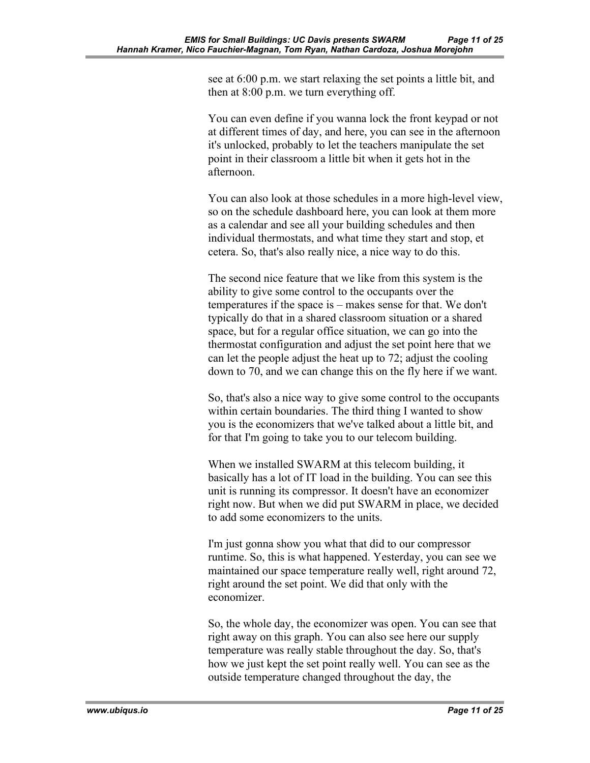see at 6:00 p.m. we start relaxing the set points a little bit, and then at 8:00 p.m. we turn everything off.

You can even define if you wanna lock the front keypad or not at different times of day, and here, you can see in the afternoon it's unlocked, probably to let the teachers manipulate the set point in their classroom a little bit when it gets hot in the afternoon.

You can also look at those schedules in a more high-level view, so on the schedule dashboard here, you can look at them more as a calendar and see all your building schedules and then individual thermostats, and what time they start and stop, et cetera. So, that's also really nice, a nice way to do this.

The second nice feature that we like from this system is the ability to give some control to the occupants over the temperatures if the space is – makes sense for that. We don't typically do that in a shared classroom situation or a shared space, but for a regular office situation, we can go into the thermostat configuration and adjust the set point here that we can let the people adjust the heat up to 72; adjust the cooling down to 70, and we can change this on the fly here if we want.

So, that's also a nice way to give some control to the occupants within certain boundaries. The third thing I wanted to show you is the economizers that we've talked about a little bit, and for that I'm going to take you to our telecom building.

When we installed SWARM at this telecom building, it basically has a lot of IT load in the building. You can see this unit is running its compressor. It doesn't have an economizer right now. But when we did put SWARM in place, we decided to add some economizers to the units.

I'm just gonna show you what that did to our compressor runtime. So, this is what happened. Yesterday, you can see we maintained our space temperature really well, right around 72, right around the set point. We did that only with the economizer.

So, the whole day, the economizer was open. You can see that right away on this graph. You can also see here our supply temperature was really stable throughout the day. So, that's how we just kept the set point really well. You can see as the outside temperature changed throughout the day, the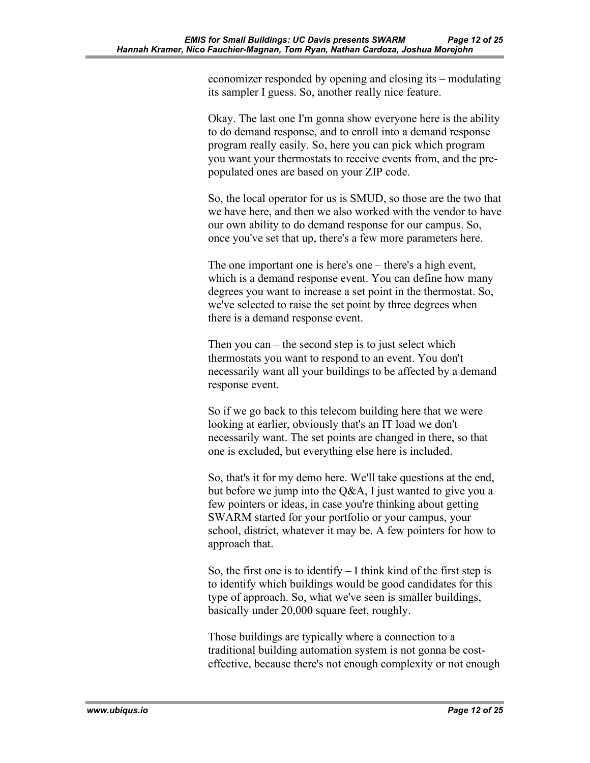economizer responded by opening and closing its – modulating its sampler I guess. So, another really nice feature.

Okay. The last one I'm gonna show everyone here is the ability to do demand response, and to enroll into a demand response program really easily. So, here you can pick which program you want your thermostats to receive events from, and the prepopulated ones are based on your ZIP code.

So, the local operator for us is SMUD, so those are the two that we have here, and then we also worked with the vendor to have our own ability to do demand response for our campus. So, once you've set that up, there's a few more parameters here.

The one important one is here's one – there's a high event, which is a demand response event. You can define how many degrees you want to increase a set point in the thermostat. So, we've selected to raise the set point by three degrees when there is a demand response event.

Then you can – the second step is to just select which thermostats you want to respond to an event. You don't necessarily want all your buildings to be affected by a demand response event.

So if we go back to this telecom building here that we were looking at earlier, obviously that's an IT load we don't necessarily want. The set points are changed in there, so that one is excluded, but everything else here is included.

So, that's it for my demo here. We'll take questions at the end, but before we jump into the Q&A, I just wanted to give you a few pointers or ideas, in case you're thinking about getting SWARM started for your portfolio or your campus, your school, district, whatever it may be. A few pointers for how to approach that.

So, the first one is to identify  $-I$  think kind of the first step is to identify which buildings would be good candidates for this type of approach. So, what we've seen is smaller buildings, basically under 20,000 square feet, roughly.

Those buildings are typically where a connection to a traditional building automation system is not gonna be costeffective, because there's not enough complexity or not enough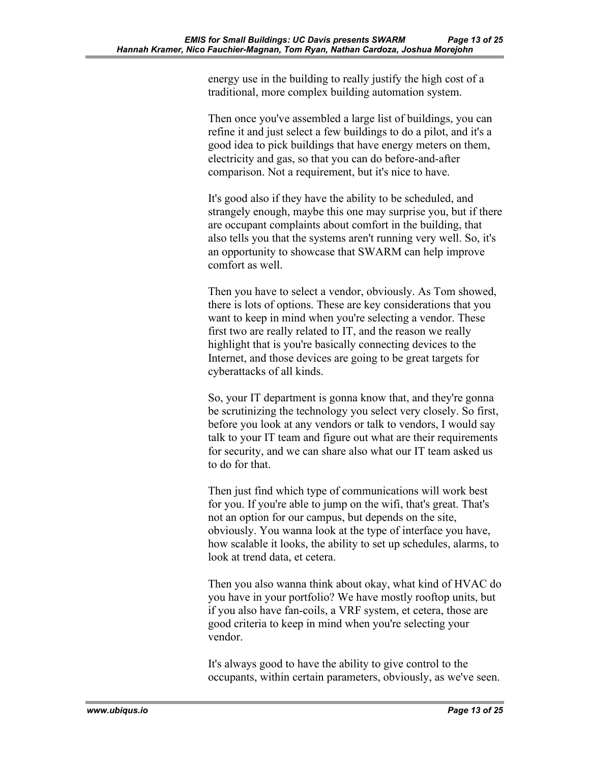energy use in the building to really justify the high cost of a traditional, more complex building automation system.

Then once you've assembled a large list of buildings, you can refine it and just select a few buildings to do a pilot, and it's a good idea to pick buildings that have energy meters on them, electricity and gas, so that you can do before-and-after comparison. Not a requirement, but it's nice to have.

It's good also if they have the ability to be scheduled, and strangely enough, maybe this one may surprise you, but if there are occupant complaints about comfort in the building, that also tells you that the systems aren't running very well. So, it's an opportunity to showcase that SWARM can help improve comfort as well.

Then you have to select a vendor, obviously. As Tom showed, there is lots of options. These are key considerations that you want to keep in mind when you're selecting a vendor. These first two are really related to IT, and the reason we really highlight that is you're basically connecting devices to the Internet, and those devices are going to be great targets for cyberattacks of all kinds.

So, your IT department is gonna know that, and they're gonna be scrutinizing the technology you select very closely. So first, before you look at any vendors or talk to vendors, I would say talk to your IT team and figure out what are their requirements for security, and we can share also what our IT team asked us to do for that.

Then just find which type of communications will work best for you. If you're able to jump on the wifi, that's great. That's not an option for our campus, but depends on the site, obviously. You wanna look at the type of interface you have, how scalable it looks, the ability to set up schedules, alarms, to look at trend data, et cetera.

Then you also wanna think about okay, what kind of HVAC do you have in your portfolio? We have mostly rooftop units, but if you also have fan-coils, a VRF system, et cetera, those are good criteria to keep in mind when you're selecting your vendor.

It's always good to have the ability to give control to the occupants, within certain parameters, obviously, as we've seen.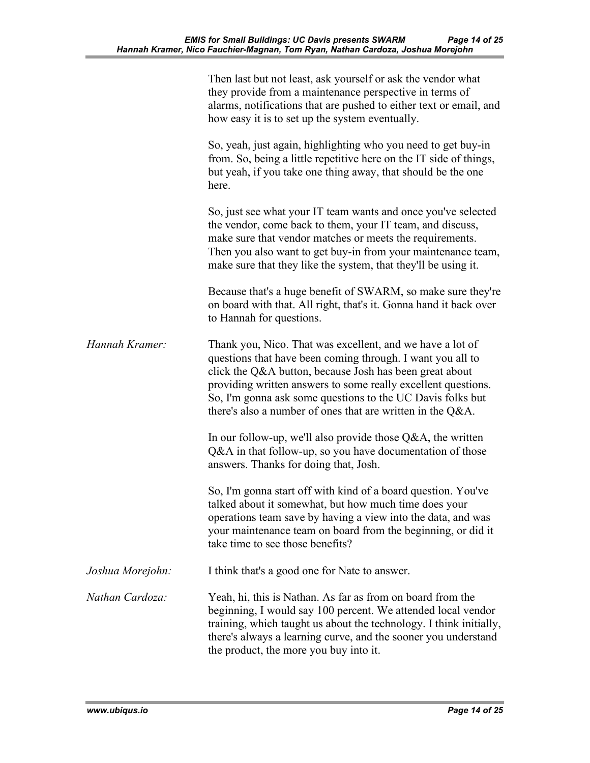|                  | Then last but not least, ask yourself or ask the vendor what<br>they provide from a maintenance perspective in terms of<br>alarms, notifications that are pushed to either text or email, and<br>how easy it is to set up the system eventually.                                                                                                                                   |
|------------------|------------------------------------------------------------------------------------------------------------------------------------------------------------------------------------------------------------------------------------------------------------------------------------------------------------------------------------------------------------------------------------|
|                  | So, yeah, just again, highlighting who you need to get buy-in<br>from. So, being a little repetitive here on the IT side of things,<br>but yeah, if you take one thing away, that should be the one<br>here.                                                                                                                                                                       |
|                  | So, just see what your IT team wants and once you've selected<br>the vendor, come back to them, your IT team, and discuss,<br>make sure that vendor matches or meets the requirements.<br>Then you also want to get buy-in from your maintenance team,<br>make sure that they like the system, that they'll be using it.                                                           |
|                  | Because that's a huge benefit of SWARM, so make sure they're<br>on board with that. All right, that's it. Gonna hand it back over<br>to Hannah for questions.                                                                                                                                                                                                                      |
| Hannah Kramer:   | Thank you, Nico. That was excellent, and we have a lot of<br>questions that have been coming through. I want you all to<br>click the Q&A button, because Josh has been great about<br>providing written answers to some really excellent questions.<br>So, I'm gonna ask some questions to the UC Davis folks but<br>there's also a number of ones that are written in the $Q&A$ . |
|                  | In our follow-up, we'll also provide those $Q&A$ , the written<br>Q&A in that follow-up, so you have documentation of those<br>answers. Thanks for doing that, Josh.                                                                                                                                                                                                               |
|                  | So, I'm gonna start off with kind of a board question. You've<br>talked about it somewhat, but how much time does your<br>operations team save by having a view into the data, and was<br>your maintenance team on board from the beginning, or did it<br>take time to see those benefits?                                                                                         |
| Joshua Morejohn: | I think that's a good one for Nate to answer.                                                                                                                                                                                                                                                                                                                                      |
| Nathan Cardoza:  | Yeah, hi, this is Nathan. As far as from on board from the<br>beginning, I would say 100 percent. We attended local vendor<br>training, which taught us about the technology. I think initially,<br>there's always a learning curve, and the sooner you understand<br>the product, the more you buy into it.                                                                       |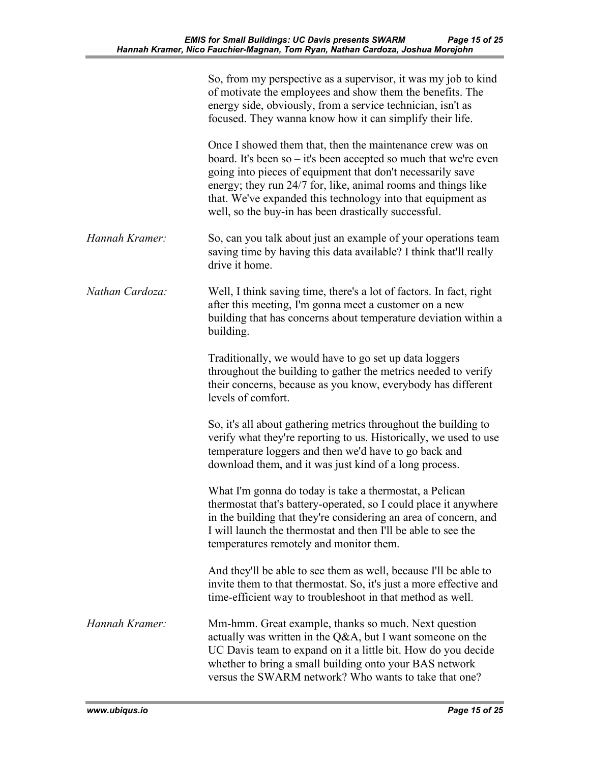|                 | So, from my perspective as a supervisor, it was my job to kind<br>of motivate the employees and show them the benefits. The<br>energy side, obviously, from a service technician, isn't as<br>focused. They wanna know how it can simplify their life.                                                                                                                                |
|-----------------|---------------------------------------------------------------------------------------------------------------------------------------------------------------------------------------------------------------------------------------------------------------------------------------------------------------------------------------------------------------------------------------|
|                 | Once I showed them that, then the maintenance crew was on<br>board. It's been so $-$ it's been accepted so much that we're even<br>going into pieces of equipment that don't necessarily save<br>energy; they run 24/7 for, like, animal rooms and things like<br>that. We've expanded this technology into that equipment as<br>well, so the buy-in has been drastically successful. |
| Hannah Kramer:  | So, can you talk about just an example of your operations team<br>saving time by having this data available? I think that'll really<br>drive it home.                                                                                                                                                                                                                                 |
| Nathan Cardoza: | Well, I think saving time, there's a lot of factors. In fact, right<br>after this meeting, I'm gonna meet a customer on a new<br>building that has concerns about temperature deviation within a<br>building.                                                                                                                                                                         |
|                 | Traditionally, we would have to go set up data loggers<br>throughout the building to gather the metrics needed to verify<br>their concerns, because as you know, everybody has different<br>levels of comfort.                                                                                                                                                                        |
|                 | So, it's all about gathering metrics throughout the building to<br>verify what they're reporting to us. Historically, we used to use<br>temperature loggers and then we'd have to go back and<br>download them, and it was just kind of a long process.                                                                                                                               |
|                 | What I'm gonna do today is take a thermostat, a Pelican<br>thermostat that's battery-operated, so I could place it anywhere<br>in the building that they're considering an area of concern, and<br>I will launch the thermostat and then I'll be able to see the<br>temperatures remotely and monitor them.                                                                           |
|                 | And they'll be able to see them as well, because I'll be able to<br>invite them to that thermostat. So, it's just a more effective and<br>time-efficient way to troubleshoot in that method as well.                                                                                                                                                                                  |
| Hannah Kramer:  | Mm-hmm. Great example, thanks so much. Next question<br>actually was written in the Q&A, but I want someone on the<br>UC Davis team to expand on it a little bit. How do you decide<br>whether to bring a small building onto your BAS network<br>versus the SWARM network? Who wants to take that one?                                                                               |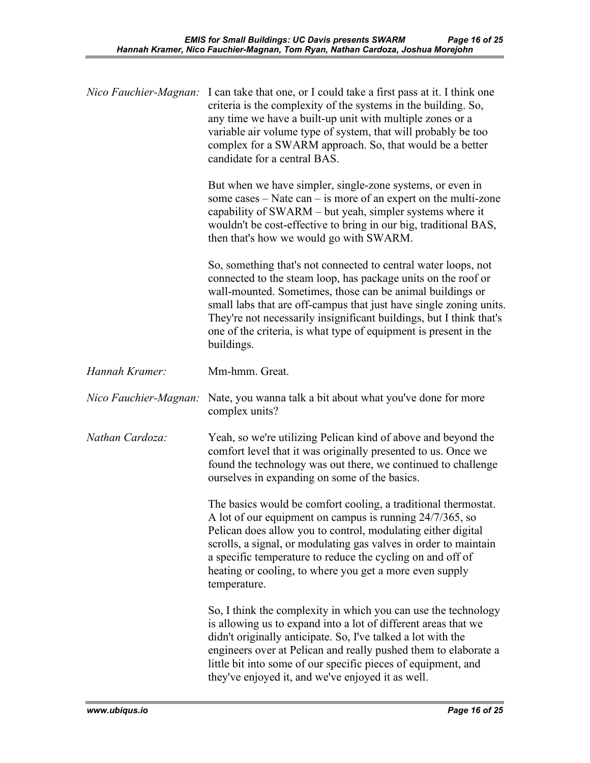|                       | <i>Nico Fauchier-Magnan</i> : I can take that one, or I could take a first pass at it. I think one<br>criteria is the complexity of the systems in the building. So,<br>any time we have a built-up unit with multiple zones or a<br>variable air volume type of system, that will probably be too<br>complex for a SWARM approach. So, that would be a better<br>candidate for a central BAS.                              |
|-----------------------|-----------------------------------------------------------------------------------------------------------------------------------------------------------------------------------------------------------------------------------------------------------------------------------------------------------------------------------------------------------------------------------------------------------------------------|
|                       | But when we have simpler, single-zone systems, or even in<br>some cases $-$ Nate can $-$ is more of an expert on the multi-zone<br>capability of SWARM - but yeah, simpler systems where it<br>wouldn't be cost-effective to bring in our big, traditional BAS,<br>then that's how we would go with SWARM.                                                                                                                  |
|                       | So, something that's not connected to central water loops, not<br>connected to the steam loop, has package units on the roof or<br>wall-mounted. Sometimes, those can be animal buildings or<br>small labs that are off-campus that just have single zoning units.<br>They're not necessarily insignificant buildings, but I think that's<br>one of the criteria, is what type of equipment is present in the<br>buildings. |
| Hannah Kramer:        | Mm-hmm. Great.                                                                                                                                                                                                                                                                                                                                                                                                              |
| Nico Fauchier-Magnan: | Nate, you wanna talk a bit about what you've done for more<br>complex units?                                                                                                                                                                                                                                                                                                                                                |
| Nathan Cardoza:       | Yeah, so we're utilizing Pelican kind of above and beyond the<br>comfort level that it was originally presented to us. Once we<br>found the technology was out there, we continued to challenge<br>ourselves in expanding on some of the basics.                                                                                                                                                                            |
|                       | The basics would be comfort cooling, a traditional thermostat.<br>A lot of our equipment on campus is running 24/7/365, so<br>Pelican does allow you to control, modulating either digital<br>scrolls, a signal, or modulating gas valves in order to maintain<br>a specific temperature to reduce the cycling on and off of<br>heating or cooling, to where you get a more even supply<br>temperature.                     |
|                       | So, I think the complexity in which you can use the technology<br>is allowing us to expand into a lot of different areas that we<br>didn't originally anticipate. So, I've talked a lot with the<br>engineers over at Pelican and really pushed them to elaborate a<br>little bit into some of our specific pieces of equipment, and<br>they've enjoyed it, and we've enjoyed it as well.                                   |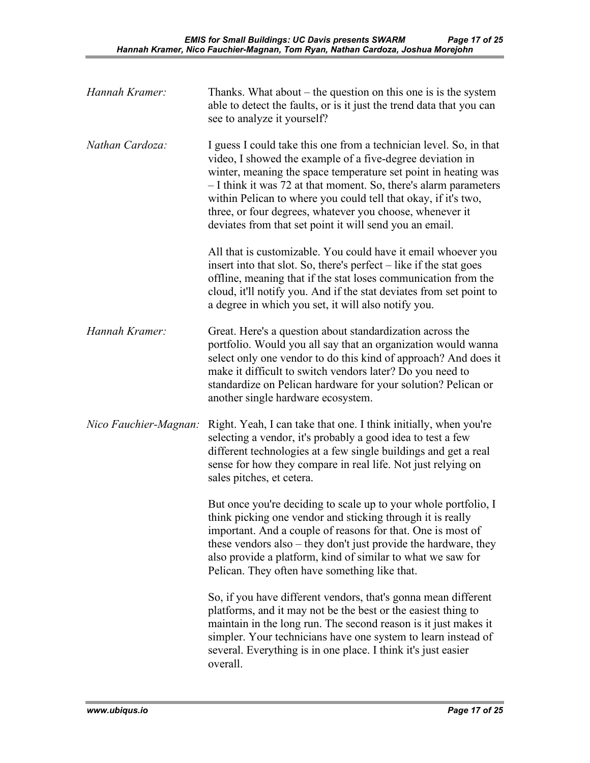| Hannah Kramer:        | Thanks. What about $-$ the question on this one is is the system<br>able to detect the faults, or is it just the trend data that you can<br>see to analyze it yourself?                                                                                                                                                                                                                                                                                        |
|-----------------------|----------------------------------------------------------------------------------------------------------------------------------------------------------------------------------------------------------------------------------------------------------------------------------------------------------------------------------------------------------------------------------------------------------------------------------------------------------------|
| Nathan Cardoza:       | I guess I could take this one from a technician level. So, in that<br>video, I showed the example of a five-degree deviation in<br>winter, meaning the space temperature set point in heating was<br>- I think it was 72 at that moment. So, there's alarm parameters<br>within Pelican to where you could tell that okay, if it's two,<br>three, or four degrees, whatever you choose, whenever it<br>deviates from that set point it will send you an email. |
|                       | All that is customizable. You could have it email whoever you<br>insert into that slot. So, there's perfect $-$ like if the stat goes<br>offline, meaning that if the stat loses communication from the<br>cloud, it'll notify you. And if the stat deviates from set point to<br>a degree in which you set, it will also notify you.                                                                                                                          |
| Hannah Kramer:        | Great. Here's a question about standardization across the<br>portfolio. Would you all say that an organization would wanna<br>select only one vendor to do this kind of approach? And does it<br>make it difficult to switch vendors later? Do you need to<br>standardize on Pelican hardware for your solution? Pelican or<br>another single hardware ecosystem.                                                                                              |
| Nico Fauchier-Magnan: | Right. Yeah, I can take that one. I think initially, when you're<br>selecting a vendor, it's probably a good idea to test a few<br>different technologies at a few single buildings and get a real<br>sense for how they compare in real life. Not just relying on<br>sales pitches, et cetera.                                                                                                                                                                |
|                       | But once you're deciding to scale up to your whole portfolio, I<br>think picking one vendor and sticking through it is really<br>important. And a couple of reasons for that. One is most of<br>these vendors also – they don't just provide the hardware, they<br>also provide a platform, kind of similar to what we saw for<br>Pelican. They often have something like that.                                                                                |
|                       | So, if you have different vendors, that's gonna mean different<br>platforms, and it may not be the best or the easiest thing to<br>maintain in the long run. The second reason is it just makes it<br>simpler. Your technicians have one system to learn instead of<br>several. Everything is in one place. I think it's just easier<br>overall.                                                                                                               |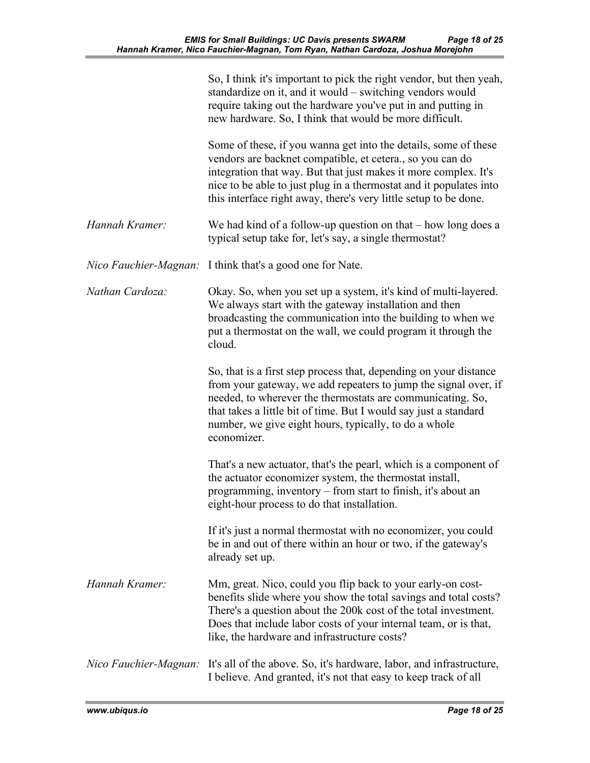|                       | So, I think it's important to pick the right vendor, but then yeah,<br>standardize on it, and it would – switching vendors would<br>require taking out the hardware you've put in and putting in<br>new hardware. So, I think that would be more difficult.                                                                                    |
|-----------------------|------------------------------------------------------------------------------------------------------------------------------------------------------------------------------------------------------------------------------------------------------------------------------------------------------------------------------------------------|
|                       | Some of these, if you wanna get into the details, some of these<br>vendors are backnet compatible, et cetera., so you can do<br>integration that way. But that just makes it more complex. It's<br>nice to be able to just plug in a thermostat and it populates into<br>this interface right away, there's very little setup to be done.      |
| Hannah Kramer:        | We had kind of a follow-up question on that $-$ how long does a<br>typical setup take for, let's say, a single thermostat?                                                                                                                                                                                                                     |
|                       | <i>Nico Fauchier-Magnan</i> : I think that's a good one for Nate.                                                                                                                                                                                                                                                                              |
| Nathan Cardoza:       | Okay. So, when you set up a system, it's kind of multi-layered.<br>We always start with the gateway installation and then<br>broadcasting the communication into the building to when we<br>put a thermostat on the wall, we could program it through the<br>cloud.                                                                            |
|                       | So, that is a first step process that, depending on your distance<br>from your gateway, we add repeaters to jump the signal over, if<br>needed, to wherever the thermostats are communicating. So,<br>that takes a little bit of time. But I would say just a standard<br>number, we give eight hours, typically, to do a whole<br>economizer. |
|                       | That's a new actuator, that's the pearl, which is a component of<br>the actuator economizer system, the thermostat install,<br>programming, inventory – from start to finish, it's about an<br>eight-hour process to do that installation.                                                                                                     |
|                       | If it's just a normal thermostat with no economizer, you could<br>be in and out of there within an hour or two, if the gateway's<br>already set up.                                                                                                                                                                                            |
| Hannah Kramer:        | Mm, great. Nico, could you flip back to your early-on cost-<br>benefits slide where you show the total savings and total costs?<br>There's a question about the 200k cost of the total investment.<br>Does that include labor costs of your internal team, or is that,<br>like, the hardware and infrastructure costs?                         |
| Nico Fauchier-Magnan: | It's all of the above. So, it's hardware, labor, and infrastructure,<br>I believe. And granted, it's not that easy to keep track of all                                                                                                                                                                                                        |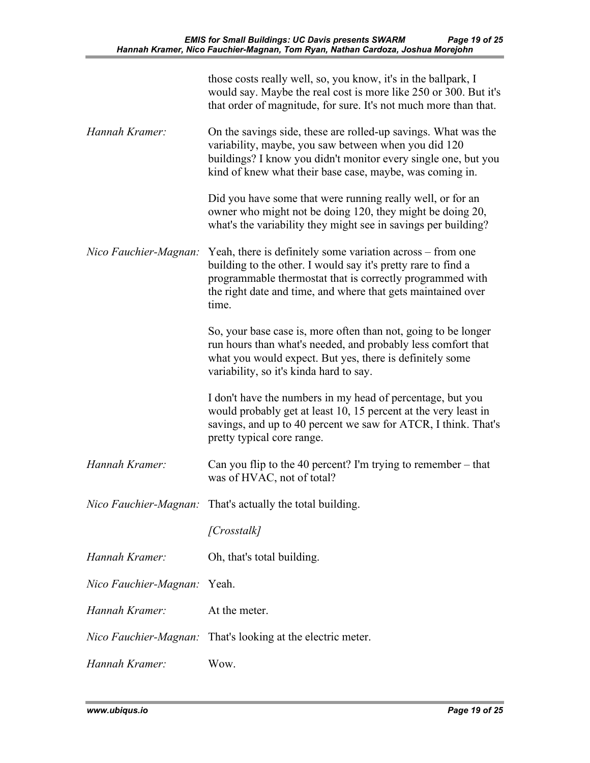|                       | those costs really well, so, you know, it's in the ballpark, I<br>would say. Maybe the real cost is more like 250 or 300. But it's<br>that order of magnitude, for sure. It's not much more than that.                                                            |
|-----------------------|-------------------------------------------------------------------------------------------------------------------------------------------------------------------------------------------------------------------------------------------------------------------|
| Hannah Kramer:        | On the savings side, these are rolled-up savings. What was the<br>variability, maybe, you saw between when you did 120<br>buildings? I know you didn't monitor every single one, but you<br>kind of knew what their base case, maybe, was coming in.              |
|                       | Did you have some that were running really well, or for an<br>owner who might not be doing 120, they might be doing 20,<br>what's the variability they might see in savings per building?                                                                         |
| Nico Fauchier-Magnan: | Yeah, there is definitely some variation across – from one<br>building to the other. I would say it's pretty rare to find a<br>programmable thermostat that is correctly programmed with<br>the right date and time, and where that gets maintained over<br>time. |
|                       | So, your base case is, more often than not, going to be longer<br>run hours than what's needed, and probably less comfort that<br>what you would expect. But yes, there is definitely some<br>variability, so it's kinda hard to say.                             |
|                       | I don't have the numbers in my head of percentage, but you<br>would probably get at least 10, 15 percent at the very least in<br>savings, and up to 40 percent we saw for ATCR, I think. That's<br>pretty typical core range.                                     |
| Hannah Kramer:        | Can you flip to the 40 percent? I'm trying to remember $-$ that<br>was of HVAC, not of total?                                                                                                                                                                     |
|                       | Nico Fauchier-Magnan: That's actually the total building.                                                                                                                                                                                                         |
|                       | [Crosstalk]                                                                                                                                                                                                                                                       |
| Hannah Kramer:        | Oh, that's total building.                                                                                                                                                                                                                                        |
| Nico Fauchier-Magnan: | Yeah.                                                                                                                                                                                                                                                             |
| Hannah Kramer:        | At the meter.                                                                                                                                                                                                                                                     |
| Nico Fauchier-Magnan: | That's looking at the electric meter.                                                                                                                                                                                                                             |
| Hannah Kramer:        | Wow.                                                                                                                                                                                                                                                              |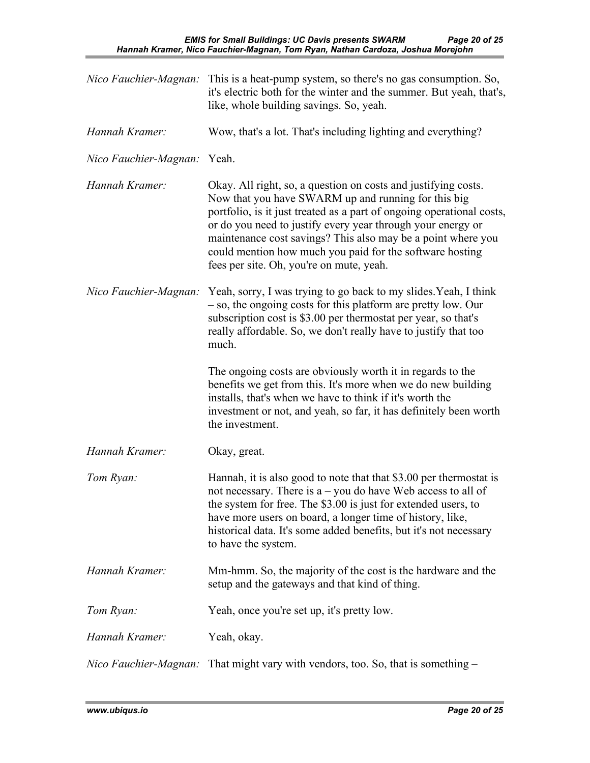| Nico Fauchier-Magnan:              | This is a heat-pump system, so there's no gas consumption. So,<br>it's electric both for the winter and the summer. But yeah, that's,<br>like, whole building savings. So, yeah.                                                                                                                                                                                                                                                      |
|------------------------------------|---------------------------------------------------------------------------------------------------------------------------------------------------------------------------------------------------------------------------------------------------------------------------------------------------------------------------------------------------------------------------------------------------------------------------------------|
| Hannah Kramer:                     | Wow, that's a lot. That's including lighting and everything?                                                                                                                                                                                                                                                                                                                                                                          |
| <i>Nico Fauchier-Magnan:</i> Yeah. |                                                                                                                                                                                                                                                                                                                                                                                                                                       |
| Hannah Kramer:                     | Okay. All right, so, a question on costs and justifying costs.<br>Now that you have SWARM up and running for this big<br>portfolio, is it just treated as a part of ongoing operational costs,<br>or do you need to justify every year through your energy or<br>maintenance cost savings? This also may be a point where you<br>could mention how much you paid for the software hosting<br>fees per site. Oh, you're on mute, yeah. |
|                                    | Nico Fauchier-Magnan: Yeah, sorry, I was trying to go back to my slides. Yeah, I think<br>- so, the ongoing costs for this platform are pretty low. Our<br>subscription cost is \$3.00 per thermostat per year, so that's<br>really affordable. So, we don't really have to justify that too<br>much.                                                                                                                                 |
|                                    | The ongoing costs are obviously worth it in regards to the<br>benefits we get from this. It's more when we do new building<br>installs, that's when we have to think if it's worth the<br>investment or not, and yeah, so far, it has definitely been worth<br>the investment.                                                                                                                                                        |
| Hannah Kramer:                     | Okay, great.                                                                                                                                                                                                                                                                                                                                                                                                                          |
| Tom Ryan:                          | Hannah, it is also good to note that that \$3.00 per thermostat is<br>not necessary. There is $a - you$ do have Web access to all of<br>the system for free. The \$3.00 is just for extended users, to<br>have more users on board, a longer time of history, like,<br>historical data. It's some added benefits, but it's not necessary<br>to have the system.                                                                       |
| Hannah Kramer:                     | Mm-hmm. So, the majority of the cost is the hardware and the<br>setup and the gateways and that kind of thing.                                                                                                                                                                                                                                                                                                                        |
| Tom Ryan:                          | Yeah, once you're set up, it's pretty low.                                                                                                                                                                                                                                                                                                                                                                                            |
| Hannah Kramer:                     | Yeah, okay.                                                                                                                                                                                                                                                                                                                                                                                                                           |
| Nico Fauchier-Magnan:              | That might vary with vendors, too. So, that is something $-$                                                                                                                                                                                                                                                                                                                                                                          |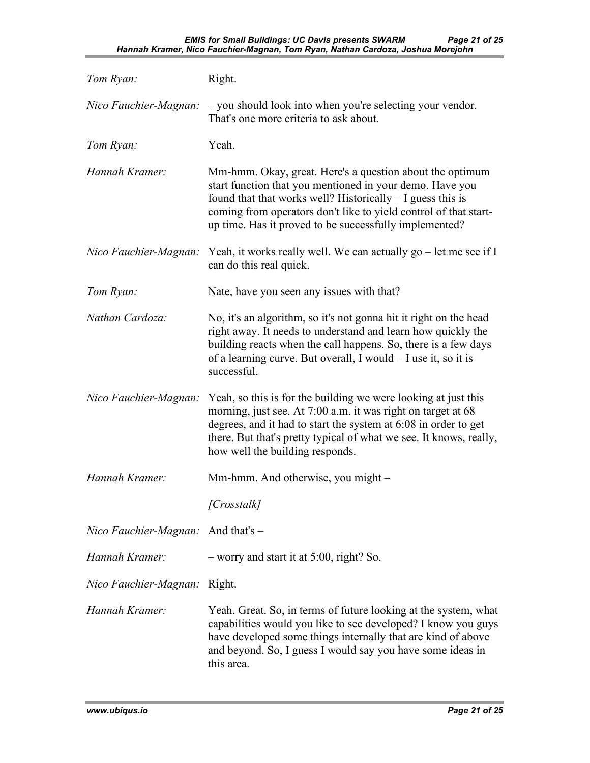| Tom Ryan:                                   | Right.                                                                                                                                                                                                                                                                                                             |
|---------------------------------------------|--------------------------------------------------------------------------------------------------------------------------------------------------------------------------------------------------------------------------------------------------------------------------------------------------------------------|
| Nico Fauchier-Magnan:                       | - you should look into when you're selecting your vendor.<br>That's one more criteria to ask about.                                                                                                                                                                                                                |
| Tom Ryan:                                   | Yeah.                                                                                                                                                                                                                                                                                                              |
| Hannah Kramer:                              | Mm-hmm. Okay, great. Here's a question about the optimum<br>start function that you mentioned in your demo. Have you<br>found that that works well? Historically $-$ I guess this is<br>coming from operators don't like to yield control of that start-<br>up time. Has it proved to be successfully implemented? |
| Nico Fauchier-Magnan:                       | Yeah, it works really well. We can actually go $-$ let me see if I<br>can do this real quick.                                                                                                                                                                                                                      |
| Tom Ryan:                                   | Nate, have you seen any issues with that?                                                                                                                                                                                                                                                                          |
| Nathan Cardoza:                             | No, it's an algorithm, so it's not gonna hit it right on the head<br>right away. It needs to understand and learn how quickly the<br>building reacts when the call happens. So, there is a few days<br>of a learning curve. But overall, I would - I use it, so it is<br>successful.                               |
| Nico Fauchier-Magnan:                       | Yeah, so this is for the building we were looking at just this<br>morning, just see. At 7:00 a.m. it was right on target at 68<br>degrees, and it had to start the system at 6:08 in order to get<br>there. But that's pretty typical of what we see. It knows, really,<br>how well the building responds.         |
| Hannah Kramer:                              | Mm-hmm. And otherwise, you might –                                                                                                                                                                                                                                                                                 |
|                                             | [Crosstalk]                                                                                                                                                                                                                                                                                                        |
| <i>Nico Fauchier-Magnan:</i> And that's $-$ |                                                                                                                                                                                                                                                                                                                    |
| Hannah Kramer:                              | $-$ worry and start it at 5:00, right? So.                                                                                                                                                                                                                                                                         |
| Nico Fauchier-Magnan:                       | Right.                                                                                                                                                                                                                                                                                                             |
| Hannah Kramer:                              | Yeah. Great. So, in terms of future looking at the system, what<br>capabilities would you like to see developed? I know you guys<br>have developed some things internally that are kind of above<br>and beyond. So, I guess I would say you have some ideas in<br>this area.                                       |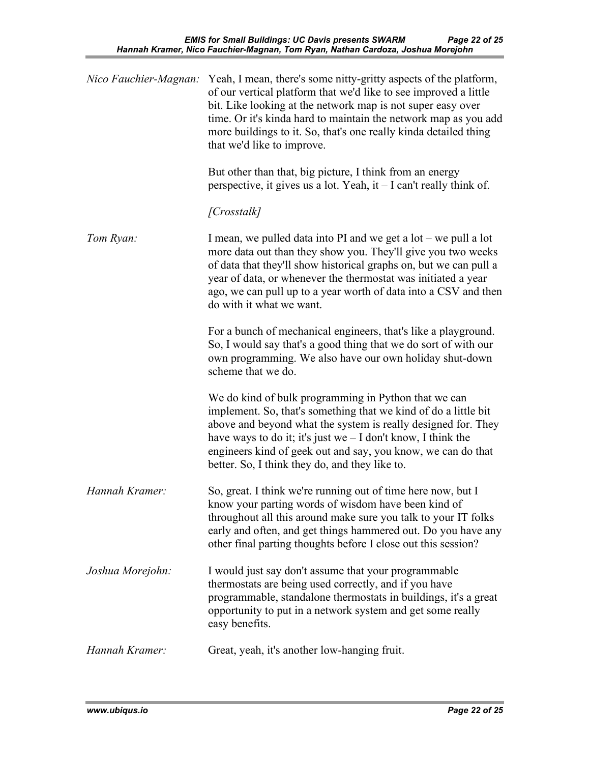| Nico Fauchier-Magnan: | Yeah, I mean, there's some nitty-gritty aspects of the platform,<br>of our vertical platform that we'd like to see improved a little<br>bit. Like looking at the network map is not super easy over<br>time. Or it's kinda hard to maintain the network map as you add<br>more buildings to it. So, that's one really kinda detailed thing<br>that we'd like to improve.     |
|-----------------------|------------------------------------------------------------------------------------------------------------------------------------------------------------------------------------------------------------------------------------------------------------------------------------------------------------------------------------------------------------------------------|
|                       | But other than that, big picture, I think from an energy<br>perspective, it gives us a lot. Yeah, it - I can't really think of.                                                                                                                                                                                                                                              |
|                       | [Crosstalk]                                                                                                                                                                                                                                                                                                                                                                  |
| Tom Ryan:             | I mean, we pulled data into PI and we get a $lot$ – we pull a lot<br>more data out than they show you. They'll give you two weeks<br>of data that they'll show historical graphs on, but we can pull a<br>year of data, or whenever the thermostat was initiated a year<br>ago, we can pull up to a year worth of data into a CSV and then<br>do with it what we want.       |
|                       | For a bunch of mechanical engineers, that's like a playground.<br>So, I would say that's a good thing that we do sort of with our<br>own programming. We also have our own holiday shut-down<br>scheme that we do.                                                                                                                                                           |
|                       | We do kind of bulk programming in Python that we can<br>implement. So, that's something that we kind of do a little bit<br>above and beyond what the system is really designed for. They<br>have ways to do it; it's just we $-$ I don't know, I think the<br>engineers kind of geek out and say, you know, we can do that<br>better. So, I think they do, and they like to. |
| Hannah Kramer:        | So, great. I think we're running out of time here now, but I<br>know your parting words of wisdom have been kind of<br>throughout all this around make sure you talk to your IT folks<br>early and often, and get things hammered out. Do you have any<br>other final parting thoughts before I close out this session?                                                      |
| Joshua Morejohn:      | I would just say don't assume that your programmable<br>thermostats are being used correctly, and if you have<br>programmable, standalone thermostats in buildings, it's a great<br>opportunity to put in a network system and get some really<br>easy benefits.                                                                                                             |
| Hannah Kramer:        | Great, yeah, it's another low-hanging fruit.                                                                                                                                                                                                                                                                                                                                 |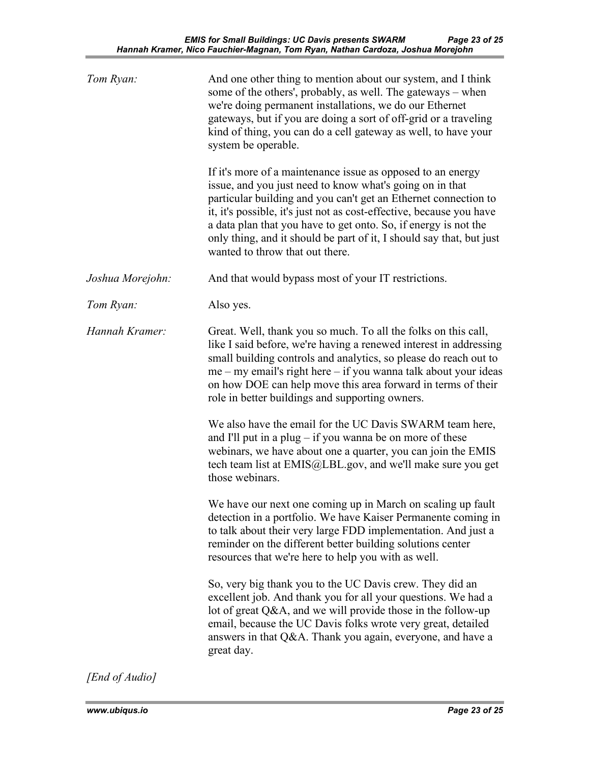| Tom Ryan:        | And one other thing to mention about our system, and I think<br>some of the others', probably, as well. The gateways – when<br>we're doing permanent installations, we do our Ethernet<br>gateways, but if you are doing a sort of off-grid or a traveling<br>kind of thing, you can do a cell gateway as well, to have your<br>system be operable.<br>If it's more of a maintenance issue as opposed to an energy<br>issue, and you just need to know what's going on in that<br>particular building and you can't get an Ethernet connection to<br>it, it's possible, it's just not as cost-effective, because you have<br>a data plan that you have to get onto. So, if energy is not the<br>only thing, and it should be part of it, I should say that, but just<br>wanted to throw that out there. |
|------------------|---------------------------------------------------------------------------------------------------------------------------------------------------------------------------------------------------------------------------------------------------------------------------------------------------------------------------------------------------------------------------------------------------------------------------------------------------------------------------------------------------------------------------------------------------------------------------------------------------------------------------------------------------------------------------------------------------------------------------------------------------------------------------------------------------------|
| Joshua Morejohn: | And that would bypass most of your IT restrictions.                                                                                                                                                                                                                                                                                                                                                                                                                                                                                                                                                                                                                                                                                                                                                     |
| Tom Ryan:        | Also yes.                                                                                                                                                                                                                                                                                                                                                                                                                                                                                                                                                                                                                                                                                                                                                                                               |
| Hannah Kramer:   | Great. Well, thank you so much. To all the folks on this call,<br>like I said before, we're having a renewed interest in addressing<br>small building controls and analytics, so please do reach out to<br>me – my email's right here – if you wanna talk about your ideas<br>on how DOE can help move this area forward in terms of their<br>role in better buildings and supporting owners.                                                                                                                                                                                                                                                                                                                                                                                                           |
|                  | We also have the email for the UC Davis SWARM team here,<br>and I'll put in a plug $-$ if you wanna be on more of these<br>webinars, we have about one a quarter, you can join the EMIS<br>tech team list at EMIS@LBL.gov, and we'll make sure you get<br>those webinars.                                                                                                                                                                                                                                                                                                                                                                                                                                                                                                                               |
|                  | We have our next one coming up in March on scaling up fault<br>detection in a portfolio. We have Kaiser Permanente coming in<br>to talk about their very large FDD implementation. And just a<br>reminder on the different better building solutions center<br>resources that we're here to help you with as well.                                                                                                                                                                                                                                                                                                                                                                                                                                                                                      |
|                  | So, very big thank you to the UC Davis crew. They did an<br>excellent job. And thank you for all your questions. We had a<br>lot of great Q&A, and we will provide those in the follow-up<br>email, because the UC Davis folks wrote very great, detailed<br>answers in that Q&A. Thank you again, everyone, and have a<br>great day.                                                                                                                                                                                                                                                                                                                                                                                                                                                                   |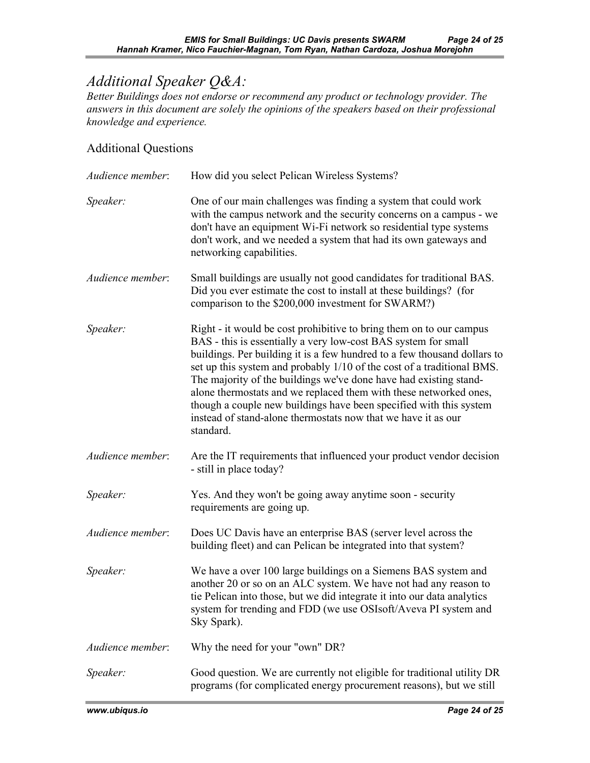## *Additional Speaker Q&A:*

*Better Buildings does not endorse or recommend any product or technology provider. The answers in this document are solely the opinions of the speakers based on their professional knowledge and experience.* 

## Additional Questions

| Audience member: | How did you select Pelican Wireless Systems?                                                                                                                                                                                                                                                                                                                                                                                                                                                                                                                                              |
|------------------|-------------------------------------------------------------------------------------------------------------------------------------------------------------------------------------------------------------------------------------------------------------------------------------------------------------------------------------------------------------------------------------------------------------------------------------------------------------------------------------------------------------------------------------------------------------------------------------------|
| Speaker:         | One of our main challenges was finding a system that could work<br>with the campus network and the security concerns on a campus - we<br>don't have an equipment Wi-Fi network so residential type systems<br>don't work, and we needed a system that had its own gateways and<br>networking capabilities.                                                                                                                                                                                                                                                                                |
| Audience member: | Small buildings are usually not good candidates for traditional BAS.<br>Did you ever estimate the cost to install at these buildings? (for<br>comparison to the \$200,000 investment for SWARM?)                                                                                                                                                                                                                                                                                                                                                                                          |
| Speaker:         | Right - it would be cost prohibitive to bring them on to our campus<br>BAS - this is essentially a very low-cost BAS system for small<br>buildings. Per building it is a few hundred to a few thousand dollars to<br>set up this system and probably 1/10 of the cost of a traditional BMS.<br>The majority of the buildings we've done have had existing stand-<br>alone thermostats and we replaced them with these networked ones,<br>though a couple new buildings have been specified with this system<br>instead of stand-alone thermostats now that we have it as our<br>standard. |
| Audience member: | Are the IT requirements that influenced your product vendor decision<br>- still in place today?                                                                                                                                                                                                                                                                                                                                                                                                                                                                                           |
| Speaker:         | Yes. And they won't be going away anytime soon - security<br>requirements are going up.                                                                                                                                                                                                                                                                                                                                                                                                                                                                                                   |
| Audience member: | Does UC Davis have an enterprise BAS (server level across the<br>building fleet) and can Pelican be integrated into that system?                                                                                                                                                                                                                                                                                                                                                                                                                                                          |
| Speaker:         | We have a over 100 large buildings on a Siemens BAS system and<br>another 20 or so on an ALC system. We have not had any reason to<br>tie Pelican into those, but we did integrate it into our data analytics<br>system for trending and FDD (we use OSIsoft/Aveva PI system and<br>Sky Spark).                                                                                                                                                                                                                                                                                           |
| Audience member: | Why the need for your "own" DR?                                                                                                                                                                                                                                                                                                                                                                                                                                                                                                                                                           |
| Speaker:         | Good question. We are currently not eligible for traditional utility DR<br>programs (for complicated energy procurement reasons), but we still                                                                                                                                                                                                                                                                                                                                                                                                                                            |